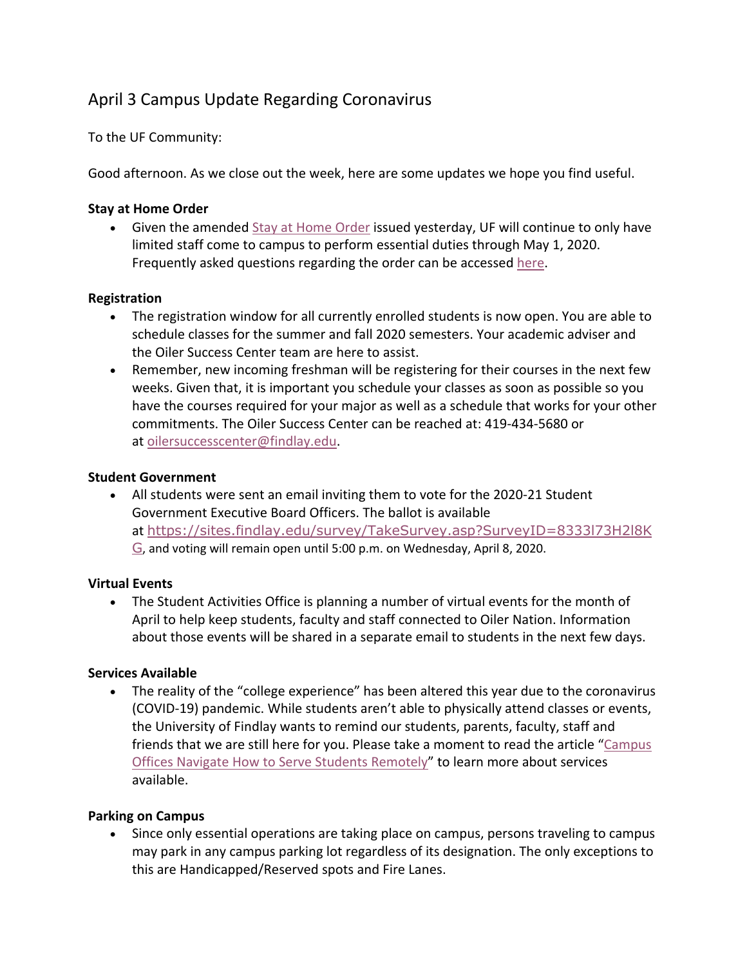# April 3 Campus Update Regarding Coronavirus

To the UF Community:

Good afternoon. As we close out the week, here are some updates we hope you find useful.

### **Stay at Home Order**

• Given the amended Stay at Home Order issued yesterday, UF will continue to only have limited staff come to campus to perform essential duties through May 1, 2020. Frequently asked questions regarding the order can be accessed here.

## **Registration**

- The registration window for all currently enrolled students is now open. You are able to schedule classes for the summer and fall 2020 semesters. Your academic adviser and the Oiler Success Center team are here to assist.
- Remember, new incoming freshman will be registering for their courses in the next few weeks. Given that, it is important you schedule your classes as soon as possible so you have the courses required for your major as well as a schedule that works for your other commitments. The Oiler Success Center can be reached at: 419-434-5680 or at oilersuccesscenter@findlay.edu.

### **Student Government**

• All students were sent an email inviting them to vote for the 2020-21 Student Government Executive Board Officers. The ballot is available at https://sites.findlay.edu/survey/TakeSurvey.asp?SurveyID=8333l73H2l8K G, and voting will remain open until 5:00 p.m. on Wednesday, April 8, 2020.

### **Virtual Events**

• The Student Activities Office is planning a number of virtual events for the month of April to help keep students, faculty and staff connected to Oiler Nation. Information about those events will be shared in a separate email to students in the next few days.

### **Services Available**

• The reality of the "college experience" has been altered this year due to the coronavirus (COVID-19) pandemic. While students aren't able to physically attend classes or events, the University of Findlay wants to remind our students, parents, faculty, staff and friends that we are still here for you. Please take a moment to read the article "Campus Offices Navigate How to Serve Students Remotely" to learn more about services available.

### **Parking on Campus**

• Since only essential operations are taking place on campus, persons traveling to campus may park in any campus parking lot regardless of its designation. The only exceptions to this are Handicapped/Reserved spots and Fire Lanes.